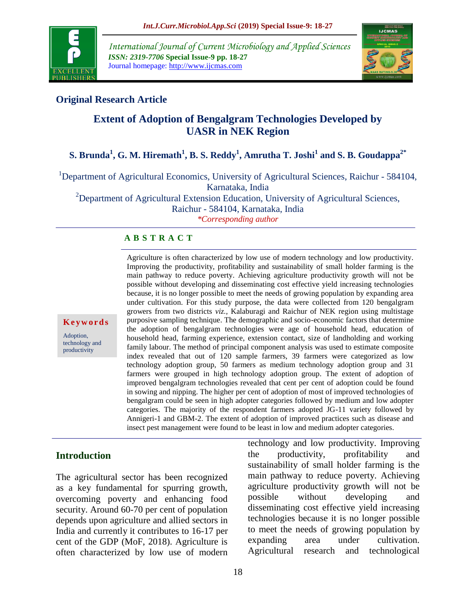

*International Journal of Current Microbiology and Applied Sciences ISSN: 2319-7706* **Special Issue-9 pp. 18-27** Journal homepage: http://www.ijcmas.com



### **Original Research Article**

# **Extent of Adoption of Bengalgram Technologies Developed by UASR in NEK Region**

## **S. Brunda<sup>1</sup> , G. M. Hiremath<sup>1</sup> , B. S. Reddy<sup>1</sup> , Amrutha T. Joshi<sup>1</sup> and S. B. Goudappa2\***

<sup>1</sup>Department of Agricultural Economics, University of Agricultural Sciences, Raichur - 584104,

Karnataka, India

<sup>2</sup>Department of Agricultural Extension Education, University of Agricultural Sciences, Raichur - 584104, Karnataka, India

*\*Corresponding author*

#### **A B S T R A C T**

**K e y w o r d s**

Adoption, technology and productivity

Improving the productivity, profitability and sustainability of small holder farming is the main pathway to reduce poverty. Achieving agriculture productivity growth will not be possible without developing and disseminating cost effective yield increasing technologies because, it is no longer possible to meet the needs of growing population by expanding area under cultivation. For this study purpose, the data were collected from 120 bengalgram growers from two districts *viz.,* Kalaburagi and Raichur of NEK region using multistage purposive sampling technique. The demographic and socio-economic factors that determine the adoption of bengalgram technologies were age of household head, education of household head, farming experience, extension contact, size of landholding and working family labour. The method of principal component analysis was used to estimate composite index revealed that out of 120 sample farmers, 39 farmers were categorized as low technology adoption group, 50 farmers as medium technology adoption group and 31 farmers were grouped in high technology adoption group. The extent of adoption of improved bengalgram technologies revealed that cent per cent of adoption could be found in sowing and nipping. The higher per cent of adoption of most of improved technologies of bengalgram could be seen in high adopter categories followed by medium and low adopter categories. The majority of the respondent farmers adopted JG-11 variety followed by Annigeri-1 and GBM-2. The extent of adoption of improved practices such as disease and insect pest management were found to be least in low and medium adopter categories.

Agriculture is often characterized by low use of modern technology and low productivity.

### **Introduction**

The agricultural sector has been recognized as a key fundamental for spurring growth, overcoming poverty and enhancing food security. Around 60-70 per cent of population depends upon agriculture and allied sectors in India and currently it contributes to 16-17 per cent of the GDP (MoF, 2018). Agriculture is often characterized by low use of modern technology and low productivity. Improving the productivity, profitability and sustainability of small holder farming is the main pathway to reduce poverty. Achieving agriculture productivity growth will not be possible without developing and disseminating cost effective yield increasing technologies because it is no longer possible to meet the needs of growing population by expanding area under cultivation. Agricultural research and technological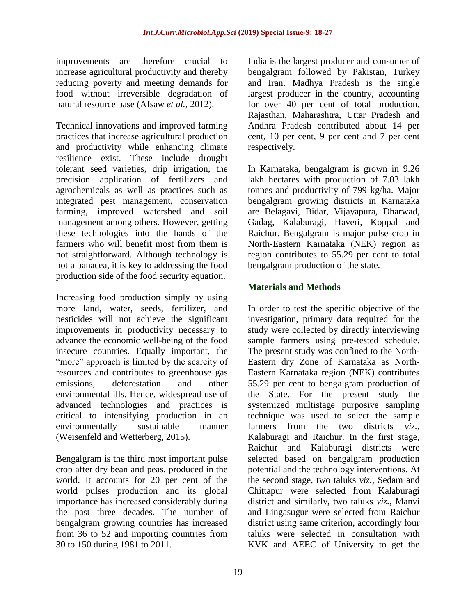improvements are therefore crucial to increase agricultural productivity and thereby reducing poverty and meeting demands for food without irreversible degradation of natural resource base (Afsaw *et al.,* 2012).

Technical innovations and improved farming practices that increase agricultural production and productivity while enhancing climate resilience exist. These include drought tolerant seed varieties, drip irrigation, the precision application of fertilizers and agrochemicals as well as practices such as integrated pest management, conservation farming, improved watershed and soil management among others. However, getting these technologies into the hands of the farmers who will benefit most from them is not straightforward. Although technology is not a panacea, it is key to addressing the food production side of the food security equation.

Increasing food production simply by using more land, water, seeds, fertilizer, and pesticides will not achieve the significant improvements in productivity necessary to advance the economic well-being of the food insecure countries. Equally important, the "more" approach is limited by the scarcity of resources and contributes to greenhouse gas emissions, deforestation and other environmental ills. Hence, widespread use of advanced technologies and practices is critical to intensifying production in an environmentally sustainable manner (Weisenfeld and Wetterberg, 2015).

Bengalgram is the third most important pulse crop after dry bean and peas, produced in the world. It accounts for 20 per cent of the world pulses production and its global importance has increased considerably during the past three decades. The number of bengalgram growing countries has increased from 36 to 52 and importing countries from 30 to 150 during 1981 to 2011.

India is the largest producer and consumer of bengalgram followed by Pakistan, Turkey and Iran. Madhya Pradesh is the single largest producer in the country, accounting for over 40 per cent of total production. Rajasthan, Maharashtra, Uttar Pradesh and Andhra Pradesh contributed about 14 per cent, 10 per cent, 9 per cent and 7 per cent respectively.

In Karnataka, bengalgram is grown in 9.26 lakh hectares with production of 7.03 lakh tonnes and productivity of 799 kg/ha. Major bengalgram growing districts in Karnataka are Belagavi, Bidar, Vijayapura, Dharwad, Gadag, Kalaburagi, Haveri, Koppal and Raichur. Bengalgram is major pulse crop in North-Eastern Karnataka (NEK) region as region contributes to 55.29 per cent to total bengalgram production of the state.

### **Materials and Methods**

In order to test the specific objective of the investigation, primary data required for the study were collected by directly interviewing sample farmers using pre-tested schedule. The present study was confined to the North-Eastern dry Zone of Karnataka as North-Eastern Karnataka region (NEK) contributes 55.29 per cent to bengalgram production of the State. For the present study the systemized multistage purposive sampling technique was used to select the sample farmers from the two districts *viz.*, Kalaburagi and Raichur. In the first stage, Raichur and Kalaburagi districts were selected based on bengalgram production potential and the technology interventions. At the second stage, two taluks *viz.*, Sedam and Chittapur were selected from Kalaburagi district and similarly, two taluks *viz.,* Manvi and Lingasugur were selected from Raichur district using same criterion, accordingly four taluks were selected in consultation with KVK and AEEC of University to get the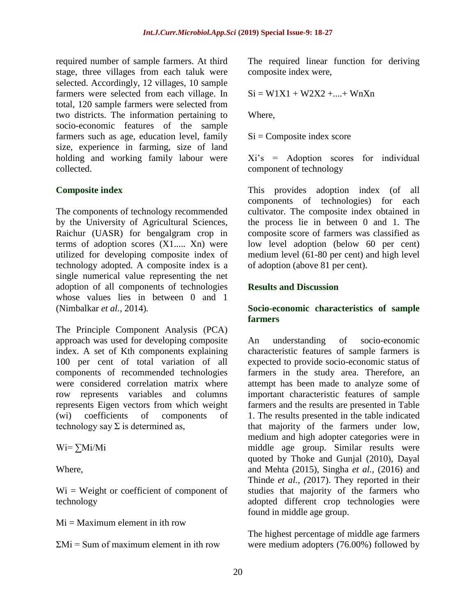required number of sample farmers. At third stage, three villages from each taluk were selected. Accordingly, 12 villages, 10 sample farmers were selected from each village. In total, 120 sample farmers were selected from two districts. The information pertaining to socio-economic features of the sample farmers such as age, education level, family size, experience in farming, size of land holding and working family labour were collected.

### **Composite index**

The components of technology recommended by the University of Agricultural Sciences, Raichur (UASR) for bengalgram crop in terms of adoption scores (X1..... Xn) were utilized for developing composite index of technology adopted. A composite index is a single numerical value representing the net adoption of all components of technologies whose values lies in between 0 and 1 (Nimbalkar *et al.,* 2014)*.*

The Principle Component Analysis (PCA) approach was used for developing composite index. A set of Kth components explaining 100 per cent of total variation of all components of recommended technologies were considered correlation matrix where row represents variables and columns represents Eigen vectors from which weight (wi) coefficients of components of technology say  $\Sigma$  is determined as,

Wi= ∑Mi/Mi

Where,

 $Wi = Weight$  or coefficient of component of technology

 $Mi = Maximum$  element in ith row

 $\Sigma$ Mi = Sum of maximum element in ith row

The required linear function for deriving composite index were,

$$
Si = W1X1 + W2X2 + \ldots + WnXn
$$

Where,

 $Si =$ Composite index score

Xi's = Adoption scores for individual component of technology

This provides adoption index (of all components of technologies) for each cultivator. The composite index obtained in the process lie in between 0 and 1. The composite score of farmers was classified as low level adoption (below 60 per cent) medium level (61-80 per cent) and high level of adoption (above 81 per cent).

### **Results and Discussion**

#### **Socio-economic characteristics of sample farmers**

An understanding of socio-economic characteristic features of sample farmers is expected to provide socio-economic status of farmers in the study area. Therefore, an attempt has been made to analyze some of important characteristic features of sample farmers and the results are presented in Table 1. The results presented in the table indicated that majority of the farmers under low, medium and high adopter categories were in middle age group. Similar results were quoted by Thoke and Gunjal (2010), Dayal and Mehta (2015), Singha *et al.,* (2016) and Thinde *et al., (*2017). They reported in their studies that majority of the farmers who adopted different crop technologies were found in middle age group.

The highest percentage of middle age farmers were medium adopters (76.00%) followed by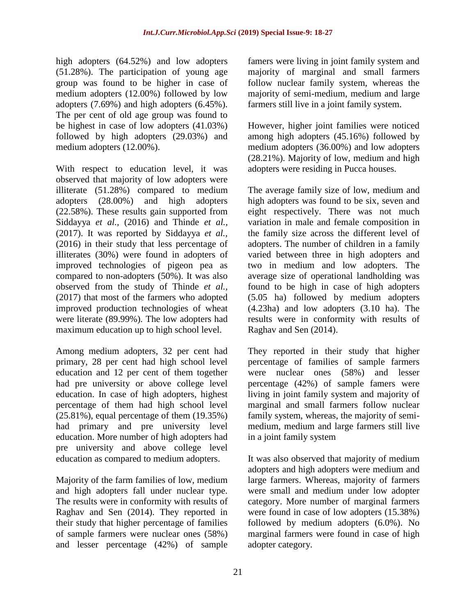high adopters (64.52%) and low adopters (51.28%). The participation of young age group was found to be higher in case of medium adopters (12.00%) followed by low adopters (7.69%) and high adopters (6.45%). The per cent of old age group was found to be highest in case of low adopters (41.03%) followed by high adopters (29.03%) and medium adopters (12.00%).

With respect to education level, it was observed that majority of low adopters were illiterate (51.28%) compared to medium adopters (28.00%) and high adopters (22.58%). These results gain supported from Siddayya *et al.,* (2016) and Thinde *et al.,*  (2017). It was reported by Siddayya *et al.,* (2016) in their study that less percentage of illiterates (30%) were found in adopters of improved technologies of pigeon pea as compared to non-adopters (50%). It was also observed from the study of Thinde *et al.,*  (2017) that most of the farmers who adopted improved production technologies of wheat were literate (89.99%). The low adopters had maximum education up to high school level.

Among medium adopters, 32 per cent had primary, 28 per cent had high school level education and 12 per cent of them together had pre university or above college level education. In case of high adopters, highest percentage of them had high school level  $(25.81\%)$ , equal percentage of them  $(19.35\%)$ had primary and pre university level education. More number of high adopters had pre university and above college level education as compared to medium adopters.

Majority of the farm families of low, medium and high adopters fall under nuclear type. The results were in conformity with results of Raghav and Sen (2014). They reported in their study that higher percentage of families of sample farmers were nuclear ones (58%) and lesser percentage (42%) of sample

famers were living in joint family system and majority of marginal and small farmers follow nuclear family system, whereas the majority of semi-medium, medium and large farmers still live in a joint family system.

However, higher joint families were noticed among high adopters (45.16%) followed by medium adopters (36.00%) and low adopters (28.21%). Majority of low, medium and high adopters were residing in Pucca houses.

The average family size of low, medium and high adopters was found to be six, seven and eight respectively. There was not much variation in male and female composition in the family size across the different level of adopters. The number of children in a family varied between three in high adopters and two in medium and low adopters. The average size of operational landholding was found to be high in case of high adopters (5.05 ha) followed by medium adopters (4.23ha) and low adopters (3.10 ha). The results were in conformity with results of Raghav and Sen (2014).

They reported in their study that higher percentage of families of sample farmers were nuclear ones (58%) and lesser percentage (42%) of sample famers were living in joint family system and majority of marginal and small farmers follow nuclear family system, whereas, the majority of semimedium, medium and large farmers still live in a joint family system

It was also observed that majority of medium adopters and high adopters were medium and large farmers. Whereas, majority of farmers were small and medium under low adopter category. More number of marginal farmers were found in case of low adopters (15.38%) followed by medium adopters (6.0%). No marginal farmers were found in case of high adopter category.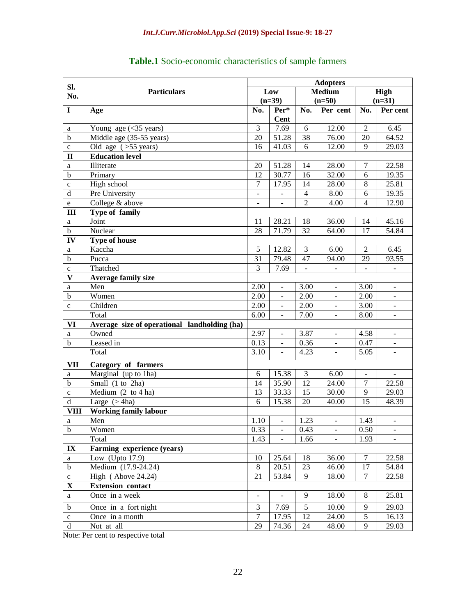|               |                                              | <b>Adopters</b>          |                          |                 |                          |                 |                          |  |
|---------------|----------------------------------------------|--------------------------|--------------------------|-----------------|--------------------------|-----------------|--------------------------|--|
| SI.<br>No.    | <b>Particulars</b>                           | Low                      |                          | <b>Medium</b>   |                          | High            |                          |  |
|               |                                              | $(n=39)$                 |                          | $(n=50)$        |                          | $(n=31)$        |                          |  |
| $\mathbf I$   | Age                                          | No.                      | Per*                     | No.             | Per cent                 | No.             | Per cent                 |  |
|               |                                              |                          | <b>Cent</b>              |                 |                          |                 |                          |  |
| a             | Young age $(\leq 35$ years)                  | $\overline{3}$           | 7.69                     | 6               | 12.00                    | $\overline{2}$  | 6.45                     |  |
| $\mathbf b$   | Middle age (35-55 years)                     | 20                       | 51.28                    | 38              | 76.00                    | $\overline{20}$ | 64.52                    |  |
| $\mathbf c$   | Old age $($ > 55 years)                      | 16                       | 41.03                    | 6               | 12.00                    | $\mathbf{Q}$    | 29.03                    |  |
| $\mathbf{I}$  | <b>Education level</b>                       |                          |                          |                 |                          |                 |                          |  |
| a             | Illiterate                                   | 20                       | 51.28                    | 14              | 28.00                    | $\tau$          | 22.58                    |  |
| $\mathbf b$   | Primary                                      | $\overline{12}$          | 30.77                    | $\overline{16}$ | 32.00                    | $\overline{6}$  | 19.35                    |  |
| $\mathbf c$   | High school                                  | $\overline{7}$           | 17.95                    | 14              | 28.00                    | $\overline{8}$  | 25.81                    |  |
| $\rm d$       | Pre University                               | $\overline{\phantom{0}}$ |                          | $\overline{4}$  | 8.00                     | 6               | 19.35                    |  |
| $\mathbf e$   | College & above                              |                          |                          | $\overline{c}$  | 4.00                     | 4               | 12.90                    |  |
| III           | Type of family                               |                          |                          |                 |                          |                 |                          |  |
| a             | Joint                                        | 11                       | 28.21                    | 18              | 36.00                    | 14              | 45.16                    |  |
| $\bf b$       | Nuclear                                      | 28                       | 71.79                    | 32              | 64.00                    | 17              | 54.84                    |  |
| IV            | <b>Type of house</b>                         |                          |                          |                 |                          |                 |                          |  |
| a             | Kaccha                                       | 5                        | 12.82                    | 3               | 6.00                     | $\overline{2}$  | 6.45                     |  |
| $\mathbf b$   | Pucca                                        | 31                       | 79.48                    | 47              | 94.00                    | 29              | 93.55                    |  |
| $\mathbf c$   | Thatched                                     | 3                        | 7.69                     |                 |                          |                 |                          |  |
| V             | <b>Average family size</b>                   |                          |                          |                 |                          |                 |                          |  |
| a             | Men                                          | 2.00                     | $\blacksquare$           | 3.00            | $\overline{\phantom{a}}$ | 3.00            | $\overline{\phantom{a}}$ |  |
| $\mathbf b$   | Women                                        | 2.00                     | $\overline{\phantom{a}}$ | 2.00            | $\blacksquare$           | 2.00            |                          |  |
| $\mathbf c$   | Children                                     | 2.00                     | $\blacksquare$           | 2.00            | $\overline{\phantom{a}}$ | 3.00            | $\overline{\phantom{a}}$ |  |
|               | Total                                        | 6.00                     |                          | 7.00            |                          | 8.00            |                          |  |
| VI            | Average size of operational landholding (ha) |                          |                          |                 |                          |                 |                          |  |
| a             | Owned                                        | 2.97                     | $\overline{\phantom{a}}$ | 3.87            | $\blacksquare$           | 4.58            | $\overline{\phantom{a}}$ |  |
| $\mathbf b$   | Leased in                                    | 0.13                     | $\overline{\phantom{a}}$ | 0.36            | $\overline{\phantom{a}}$ | 0.47            | $\overline{\phantom{a}}$ |  |
|               | Total                                        | $\overline{3.10}$        | $\blacksquare$           | 4.23            | $\overline{\phantom{a}}$ | 5.05            | $\overline{\phantom{a}}$ |  |
| <b>VII</b>    | <b>Category of farmers</b>                   |                          |                          |                 |                          |                 |                          |  |
| a             | Marginal (up to 1ha)                         | 6                        | 15.38                    | 3               | 6.00                     | $\blacksquare$  | $\equiv$                 |  |
| $\mathbf b$   | Small (1 to 2ha)                             | 14                       | 35.90                    | 12              | 24.00                    | $\overline{7}$  | 22.58                    |  |
| $\mathbf{C}$  | Medium $(2 \text{ to } 4 \text{ ha})$        | 13                       | 33.33                    | 15              | 30.00                    | 9               | 29.03                    |  |
| $\mathbf d$   | Large $($ 4ha)                               | 6                        | 15.38                    | 20              | 40.00                    | 15              | 48.39                    |  |
| <b>VIII</b>   | <b>Working family labour</b>                 |                          |                          |                 |                          |                 |                          |  |
| a             | Men                                          | 1.10                     | $\equiv$                 | 1.23            | $\overline{\phantom{a}}$ | 1.43            | $\overline{\phantom{a}}$ |  |
| b             | Women                                        | 0.33                     | $\Box$                   | 0.43            | $\overline{\phantom{a}}$ | 0.50            | $\frac{1}{2}$            |  |
|               | Total                                        | 1.43                     | $\mathbb{R}^2$           | 1.66            | $\mathbf{L}$             | 1.93            |                          |  |
| $\mathbf{IX}$ | Farming experience (years)                   |                          |                          |                 |                          |                 |                          |  |
| a             | Low (Upto $17.9$ )                           | 10                       | 25.64                    | 18              | 36.00                    | $\overline{7}$  | 22.58                    |  |
| $\mathbf b$   | Medium (17.9-24.24)                          | $8\,$                    | 20.51                    | 23              | 46.00                    | 17              | 54.84                    |  |
| $\mathbf c$   | High (Above 24.24)                           | 21                       | 53.84                    | 9               | 18.00                    | $\tau$          | 22.58                    |  |
| $\mathbf X$   | <b>Extension</b> contact                     |                          |                          |                 |                          |                 |                          |  |
| a             | Once in a week                               | $\overline{\phantom{0}}$ | $\overline{a}$           | 9               | 18.00                    | 8               | 25.81                    |  |
| $\mathbf b$   | Once in a fort night                         | 3                        | 7.69                     | 5               | 10.00                    | 9               | 29.03                    |  |
| $\mathbf c$   | Once in a month                              | $\boldsymbol{7}$         | 17.95                    | 12              | 24.00                    | $\sqrt{5}$      | 16.13                    |  |
| ${\bf d}$     | Not at all                                   | 29                       | 74.36                    | 24              | 48.00                    | 9               | 29.03                    |  |

## **Table.1** Socio-economic characteristics of sample farmers

Note: Per cent to respective total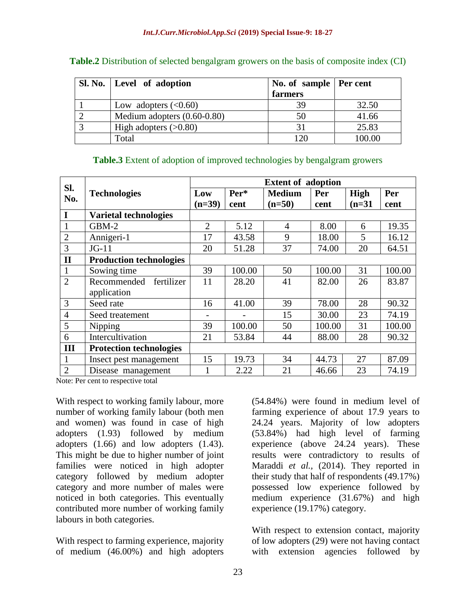| Sl. No.   Level of adoption   | No. of sample   Per cent |        |  |  |
|-------------------------------|--------------------------|--------|--|--|
|                               | farmers                  |        |  |  |
| Low adopters $(<0.60)$        | 39                       | 32.50  |  |  |
| Medium adopters $(0.60-0.80)$ | 50                       | 41.66  |  |  |
| High adopters $(>0.80)$       |                          | 25.83  |  |  |
| Total                         | $\mathfrak{O}$           | 100.00 |  |  |

| Table.2 Distribution of selected bengalgram growers on the basis of composite index (CI) |  |  |  |  |  |
|------------------------------------------------------------------------------------------|--|--|--|--|--|

|  |  |  |  | Table.3 Extent of adoption of improved technologies by bengalgram growers |  |  |  |
|--|--|--|--|---------------------------------------------------------------------------|--|--|--|
|--|--|--|--|---------------------------------------------------------------------------|--|--|--|

| SI.            |                                | <b>Extent of adoption</b> |        |                |        |          |        |  |  |
|----------------|--------------------------------|---------------------------|--------|----------------|--------|----------|--------|--|--|
| No.            | <b>Technologies</b>            | Per*<br>Low               |        | <b>Medium</b>  | Per    | High     | Per    |  |  |
|                |                                | $(n=39)$                  | cent   | $(n=50)$       | cent   | $(n=31)$ | cent   |  |  |
| I              | <b>Varietal technologies</b>   |                           |        |                |        |          |        |  |  |
| $\mathbf{1}$   | GBM-2                          | $\overline{2}$            | 5.12   | $\overline{4}$ | 8.00   | 6        | 19.35  |  |  |
| $\overline{2}$ | Annigeri-1                     | 17                        | 43.58  | 9              | 18.00  | 5        | 16.12  |  |  |
| 3              | $JG-11$                        | 20                        | 51.28  | 37             | 74.00  | 20       | 64.51  |  |  |
| $\mathbf{I}$   | <b>Production technologies</b> |                           |        |                |        |          |        |  |  |
| $\mathbf{1}$   | Sowing time                    | 39                        | 100.00 | 50             | 100.00 | 31       | 100.00 |  |  |
| $\overline{2}$ | Recommended<br>fertilizer      | 11                        | 28.20  | 41             | 82.00  | 26       | 83.87  |  |  |
|                | application                    |                           |        |                |        |          |        |  |  |
| 3              | Seed rate                      | 16                        | 41.00  | 39             | 78.00  | 28       | 90.32  |  |  |
| $\overline{4}$ | Seed treatement                |                           |        | 15             | 30.00  | 23       | 74.19  |  |  |
| 5              | Nipping                        | 39                        | 100.00 | 50             | 100.00 | 31       | 100.00 |  |  |
| 6              | Intercultivation               | 21                        | 53.84  | 44             | 88.00  | 28       | 90.32  |  |  |
| III            | <b>Protection technologies</b> |                           |        |                |        |          |        |  |  |
| $\mathbf{1}$   | Insect pest management         | 15                        | 19.73  | 34             | 44.73  | 27       | 87.09  |  |  |
| $\overline{2}$ | Disease management             |                           | 2.22   | 21             | 46.66  | 23       | 74.19  |  |  |

Note: Per cent to respective total

With respect to working family labour, more number of working family labour (both men and women) was found in case of high adopters (1.93) followed by medium adopters (1.66) and low adopters (1.43). This might be due to higher number of joint families were noticed in high adopter category followed by medium adopter category and more number of males were noticed in both categories. This eventually contributed more number of working family labours in both categories.

With respect to farming experience, majority of medium (46.00%) and high adopters

(54.84%) were found in medium level of farming experience of about 17.9 years to 24.24 years. Majority of low adopters (53.84%) had high level of farming experience (above 24.24 years). These results were contradictory to results of Maraddi *et al.,* (2014). They reported in their study that half of respondents (49.17%) possessed low experience followed by medium experience (31.67%) and high experience (19.17%) category.

With respect to extension contact, majority of low adopters (29) were not having contact with extension agencies followed by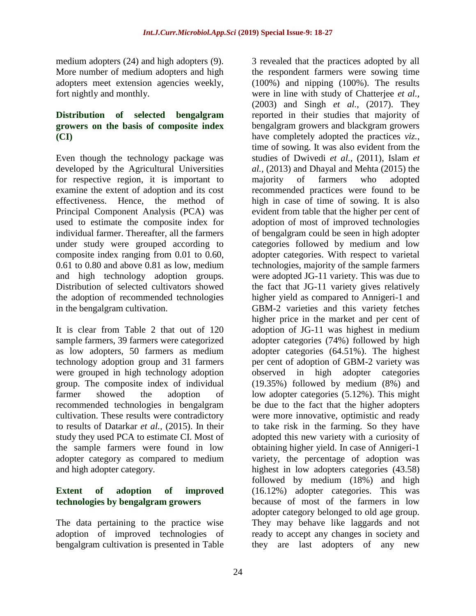medium adopters (24) and high adopters (9). More number of medium adopters and high adopters meet extension agencies weekly, fort nightly and monthly.

### **Distribution of selected bengalgram growers on the basis of composite index (CI)**

Even though the technology package was developed by the Agricultural Universities for respective region, it is important to examine the extent of adoption and its cost effectiveness. Hence, the method of Principal Component Analysis (PCA) was used to estimate the composite index for individual farmer. Thereafter, all the farmers under study were grouped according to composite index ranging from 0.01 to 0.60, 0.61 to 0.80 and above 0.81 as low, medium and high technology adoption groups. Distribution of selected cultivators showed the adoption of recommended technologies in the bengalgram cultivation.

It is clear from Table 2 that out of 120 sample farmers, 39 farmers were categorized as low adopters, 50 farmers as medium technology adoption group and 31 farmers were grouped in high technology adoption group. The composite index of individual farmer showed the adoption of recommended technologies in bengalgram cultivation. These results were contradictory to results of Datarkar *et al.,* (2015). In their study they used PCA to estimate CI. Most of the sample farmers were found in low adopter category as compared to medium and high adopter category.

### **Extent of adoption of improved technologies by bengalgram growers**

The data pertaining to the practice wise adoption of improved technologies of bengalgram cultivation is presented in Table

3 revealed that the practices adopted by all the respondent farmers were sowing time (100%) and nipping (100%). The results were in line with study of Chatterjee *et al.,* (2003) and Singh *et al.,* (2017). They reported in their studies that majority of bengalgram growers and blackgram growers have completely adopted the practices *viz.*, time of sowing. It was also evident from the studies of Dwivedi *et al.,* (2011), Islam *et al.,* (2013) and Dhayal and Mehta (2015) the majority of farmers who adopted recommended practices were found to be high in case of time of sowing. It is also evident from table that the higher per cent of adoption of most of improved technologies of bengalgram could be seen in high adopter categories followed by medium and low adopter categories. With respect to varietal technologies, majority of the sample farmers were adopted JG-11 variety. This was due to the fact that JG-11 variety gives relatively higher yield as compared to Annigeri-1 and GBM-2 varieties and this variety fetches higher price in the market and per cent of adoption of JG-11 was highest in medium adopter categories (74%) followed by high adopter categories (64.51%). The highest per cent of adoption of GBM-2 variety was observed in high adopter categories (19.35%) followed by medium (8%) and low adopter categories (5.12%). This might be due to the fact that the higher adopters were more innovative, optimistic and ready to take risk in the farming. So they have adopted this new variety with a curiosity of obtaining higher yield. In case of Annigeri-1 variety, the percentage of adoption was highest in low adopters categories  $(43.58)$ followed by medium (18%) and high (16.12%) adopter categories. This was because of most of the farmers in low adopter category belonged to old age group. They may behave like laggards and not ready to accept any changes in society and they are last adopters of any new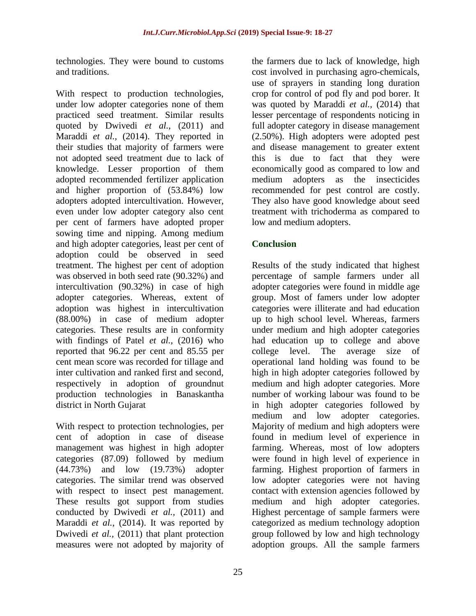technologies. They were bound to customs and traditions.

With respect to production technologies, under low adopter categories none of them practiced seed treatment. Similar results quoted by Dwivedi *et al.,* (2011) and Maraddi *et al.,* (2014). They reported in their studies that majority of farmers were not adopted seed treatment due to lack of knowledge. Lesser proportion of them adopted recommended fertilizer application and higher proportion of (53.84%) low adopters adopted intercultivation. However, even under low adopter category also cent per cent of farmers have adopted proper sowing time and nipping. Among medium and high adopter categories, least per cent of adoption could be observed in seed treatment. The highest per cent of adoption was observed in both seed rate (90.32%) and intercultivation (90.32%) in case of high adopter categories. Whereas, extent of adoption was highest in intercultivation (88.00%) in case of medium adopter categories. These results are in conformity with findings of Patel *et al.,* (2016) who reported that 96.22 per cent and 85.55 per cent mean score was recorded for tillage and inter cultivation and ranked first and second, respectively in adoption of groundnut production technologies in Banaskantha district in North Gujarat

With respect to protection technologies, per cent of adoption in case of disease management was highest in high adopter categories (87.09) followed by medium (44.73%) and low (19.73%) adopter categories. The similar trend was observed with respect to insect pest management. These results got support from studies conducted by Dwivedi *et al.,* (2011) and Maraddi *et al.,* (2014). It was reported by Dwivedi *et al.,* (2011) that plant protection measures were not adopted by majority of

the farmers due to lack of knowledge, high cost involved in purchasing agro-chemicals, use of sprayers in standing long duration crop for control of pod fly and pod borer. It was quoted by Maraddi *et al.,* (2014) that lesser percentage of respondents noticing in full adopter category in disease management (2.50%). High adopters were adopted pest and disease management to greater extent this is due to fact that they were economically good as compared to low and medium adopters as the insecticides recommended for pest control are costly. They also have good knowledge about seed treatment with trichoderma as compared to low and medium adopters.

## **Conclusion**

Results of the study indicated that highest percentage of sample farmers under all adopter categories were found in middle age group. Most of famers under low adopter categories were illiterate and had education up to high school level. Whereas, farmers under medium and high adopter categories had education up to college and above college level. The average size of operational land holding was found to be high in high adopter categories followed by medium and high adopter categories. More number of working labour was found to be in high adopter categories followed by medium and low adopter categories. Majority of medium and high adopters were found in medium level of experience in farming. Whereas, most of low adopters were found in high level of experience in farming. Highest proportion of farmers in low adopter categories were not having contact with extension agencies followed by medium and high adopter categories. Highest percentage of sample farmers were categorized as medium technology adoption group followed by low and high technology adoption groups. All the sample farmers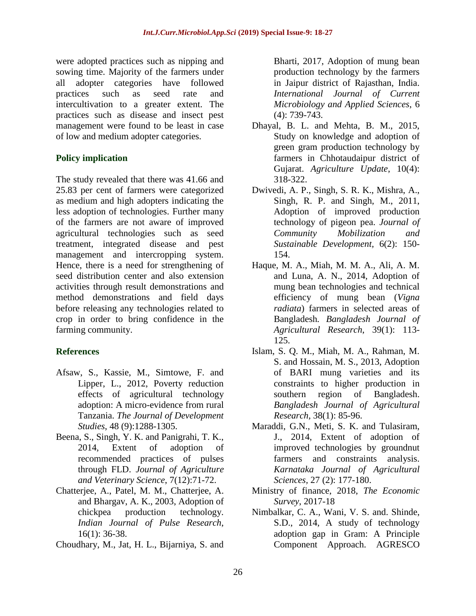were adopted practices such as nipping and sowing time. Majority of the farmers under all adopter categories have followed practices such as seed rate and intercultivation to a greater extent. The practices such as disease and insect pest management were found to be least in case of low and medium adopter categories.

### **Policy implication**

The study revealed that there was 41.66 and 25.83 per cent of farmers were categorized as medium and high adopters indicating the less adoption of technologies. Further many of the farmers are not aware of improved agricultural technologies such as seed treatment, integrated disease and pest management and intercropping system. Hence, there is a need for strengthening of seed distribution center and also extension activities through result demonstrations and method demonstrations and field days before releasing any technologies related to crop in order to bring confidence in the farming community.

### **References**

- Afsaw, S., Kassie, M., Simtowe, F. and Lipper, L., 2012, Poverty reduction effects of agricultural technology adoption: A micro-evidence from rural Tanzania. *The Journal of Development Studies*, 48 (9):1288-1305.
- Beena, S., Singh, Y. K. and Panigrahi, T. K., 2014, Extent of adoption of recommended practices of pulses through FLD. *Journal of Agriculture and Veterinary Science*, 7(12):71-72.
- Chatterjee, A., Patel, M. M., Chatterjee, A. and Bhargav, A. K., 2003, Adoption of chickpea production technology. *Indian Journal of Pulse Research*, 16(1): 36-38.
- Choudhary, M., Jat, H. L., Bijarniya, S. and

Bharti, 2017, Adoption of mung bean production technology by the farmers in Jaipur district of Rajasthan, India. *International Journal of Current Microbiology and Applied Sciences*, 6 (4): 739-743.

- Dhayal, B. L. and Mehta, B. M., 2015, Study on knowledge and adoption of green gram production technology by farmers in Chhotaudaipur district of Gujarat. *Agriculture Update*, 10(4): 318-322.
- Dwivedi, A. P., Singh, S. R. K., Mishra, A., Singh, R. P. and Singh, M., 2011, Adoption of improved production technology of pigeon pea. *Journal of Community Mobilization and Sustainable Development,* 6(2): 150- 154.
- Haque, M. A., Miah, M. M. A., Ali, A. M. and Luna, A. N., 2014, Adoption of mung bean technologies and technical efficiency of mung bean (*Vigna radiata*) farmers in selected areas of Bangladesh*. Bangladesh Journal of Agricultural Research*, 39(1): 113- 125.
- Islam, S. Q. M., Miah, M. A., Rahman, M. S. and Hossain, M. S., 2013, Adoption of BARI mung varieties and its constraints to higher production in southern region of Bangladesh. *Bangladesh Journal of Agricultural Research,* 38(1): 85-96.
- Maraddi, G.N., Meti, S. K. and Tulasiram, J., 2014, Extent of adoption of improved technologies by groundnut farmers and constraints analysis. *Karnataka Journal of Agricultural Sciences,* 27 (2): 177-180.
- Ministry of finance, 2018, *The Economic Survey*, 2017-18
- Nimbalkar, C. A., Wani, V. S. and. Shinde, S.D., 2014, A study of technology adoption gap in Gram: A Principle Component Approach. AGRESCO